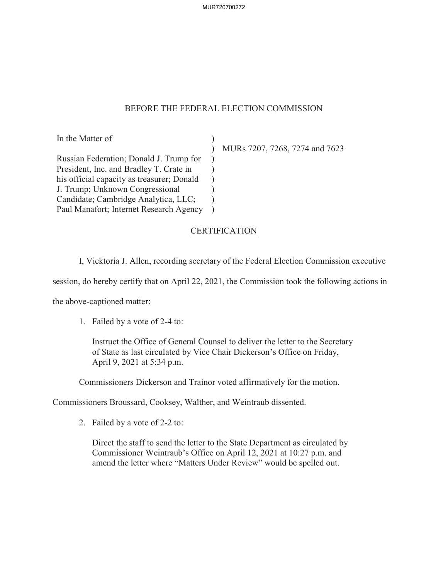MUR720700272

## BEFORE THE FEDERAL ELECTION COMMISSION

In the Matter of Russian Federation; Donald J. Trump for President, Inc. and Bradley T. Crate in his official capacity as treasurer; Donald J. Trump; Unknown Congressional Candidate; Cambridge Analytica, LLC; Paul Manafort; Internet Research Agency  $\mathcal{L}$ ) )  $\mathcal{L}$  $\lambda$ )

) MURs 7207, 7268, 7274 and 7623

## **CERTIFICATION**

I, Vicktoria J. Allen, recording secretary of the Federal Election Commission executive

session, do hereby certify that on April 22, 2021, the Commission took the following actions in

the above-captioned matter:

1. Failed by a vote of 2-4 to:

Instruct the Office of General Counsel to deliver the letter to the Secretary of State as last circulated by Vice Chair Dickerson's Office on Friday, April 9, 2021 at 5:34 p.m.

Commissioners Dickerson and Trainor voted affirmatively for the motion.

Commissioners Broussard, Cooksey, Walther, and Weintraub dissented.

2. Failed by a vote of 2-2 to:

Direct the staff to send the letter to the State Department as circulated by Commissioner Weintraub's Office on April 12, 2021 at 10:27 p.m. and amend the letter where "Matters Under Review" would be spelled out.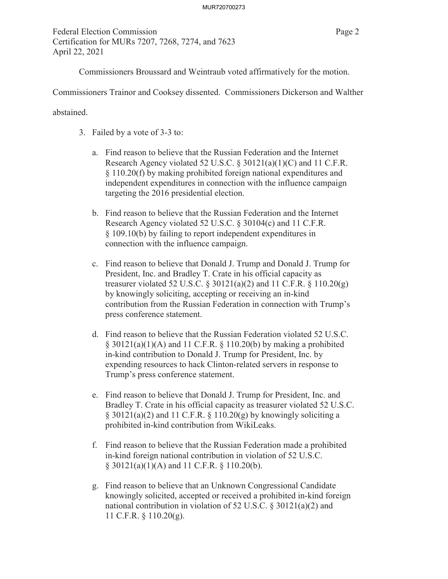Federal Election Commission Page 2 Certification for MURs 7207, 7268, 7274, and 7623 April 22, 2021

Commissioners Broussard and Weintraub voted affirmatively for the motion.

Commissioners Trainor and Cooksey dissented. Commissioners Dickerson and Walther

abstained.

- 3. Failed by a vote of 3-3 to:
	- a. Find reason to believe that the Russian Federation and the Internet Research Agency violated 52 U.S.C. § 30121(a)(1)(C) and 11 C.F.R. § 110.20(f) by making prohibited foreign national expenditures and independent expenditures in connection with the influence campaign targeting the 2016 presidential election.
	- b. Find reason to believe that the Russian Federation and the Internet Research Agency violated 52 U.S.C. § 30104(c) and 11 C.F.R. § 109.10(b) by failing to report independent expenditures in connection with the influence campaign.
	- c. Find reason to believe that Donald J. Trump and Donald J. Trump for President, Inc. and Bradley T. Crate in his official capacity as treasurer violated 52 U.S.C. § 30121(a)(2) and 11 C.F.R. § 110.20(g) by knowingly soliciting, accepting or receiving an in-kind contribution from the Russian Federation in connection with Trump's press conference statement.
	- d. Find reason to believe that the Russian Federation violated 52 U.S.C.  $\S$  30121(a)(1)(A) and 11 C.F.R.  $\S$  110.20(b) by making a prohibited in-kind contribution to Donald J. Trump for President, Inc. by expending resources to hack Clinton-related servers in response to Trump's press conference statement.
	- e. Find reason to believe that Donald J. Trump for President, Inc. and Bradley T. Crate in his official capacity as treasurer violated 52 U.S.C.  $\S$  30121(a)(2) and 11 C.F.R.  $\S$  110.20(g) by knowingly soliciting a prohibited in-kind contribution from WikiLeaks.
	- f. Find reason to believe that the Russian Federation made a prohibited in-kind foreign national contribution in violation of 52 U.S.C.  $\S$  30121(a)(1)(A) and 11 C.F.R.  $\S$  110.20(b).
	- g. Find reason to believe that an Unknown Congressional Candidate knowingly solicited, accepted or received a prohibited in-kind foreign national contribution in violation of 52 U.S.C. § 30121(a)(2) and 11 C.F.R. § 110.20(g).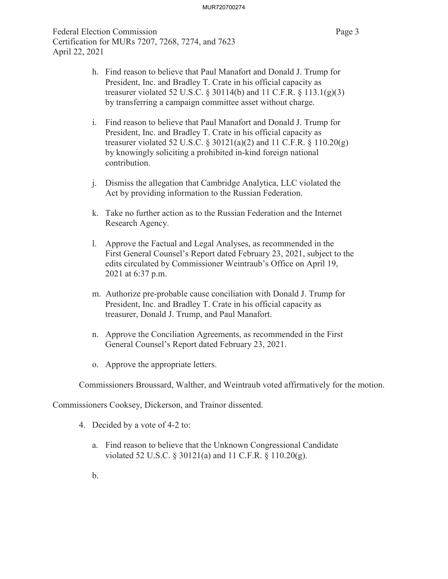Federal Election Commission Page 3 Certification for MURs 7207, 7268, 7274, and 7623 April 22, 2021

- h. Find reason to believe that Paul Manafort and Donald J. Trump for President, Inc. and Bradley T. Crate in his official capacity as treasurer violated 52 U.S.C.  $\S 30114(b)$  and 11 C.F.R.  $\S 113.1(g)(3)$ by transferring a campaign committee asset without charge.
- i. Find reason to believe that Paul Manafort and Donald J. Trump for President, Inc. and Bradley T. Crate in his official capacity as treasurer violated 52 U.S.C. § 30121(a)(2) and 11 C.F.R. § 110.20(g) by knowingly soliciting a prohibited in-kind foreign national contribution.
- j. Dismiss the allegation that Cambridge Analytica, LLC violated the Act by providing information to the Russian Federation.
- k. Take no further action as to the Russian Federation and the Internet Research Agency.
- l. Approve the Factual and Legal Analyses, as recommended in the First General Counsel's Report dated February 23, 2021, subject to the edits circulated by Commissioner Weintraub's Office on April 19, 2021 at 6:37 p.m.
- m. Authorize pre-probable cause conciliation with Donald J. Trump for President, Inc. and Bradley T. Crate in his official capacity as treasurer, Donald J. Trump, and Paul Manafort.
- n. Approve the Conciliation Agreements, as recommended in the First General Counsel's Report dated February 23, 2021.
- o. Approve the appropriate letters.

Commissioners Broussard, Walther, and Weintraub voted affirmatively for the motion.

Commissioners Cooksey, Dickerson, and Trainor dissented.

- 4. Decided by a vote of 4-2 to:
	- a. Find reason to believe that the Unknown Congressional Candidate violated 52 U.S.C. § 30121(a) and 11 C.F.R. § 110.20(g).
	- b.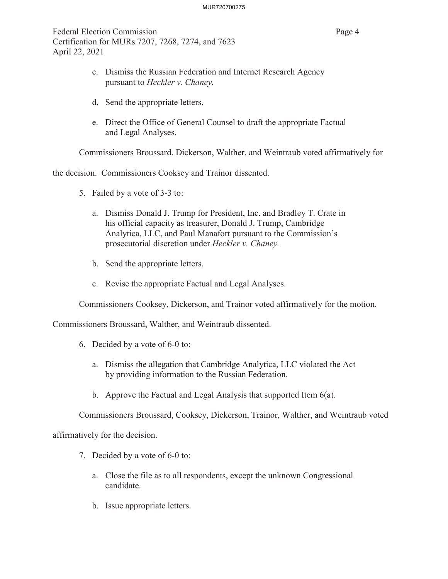Federal Election Commission **Page 4** Certification for MURs 7207, 7268, 7274, and 7623 April 22, 2021

- c. Dismiss the Russian Federation and Internet Research Agency pursuant to *Heckler v. Chaney.*
- d. Send the appropriate letters.
- e. Direct the Office of General Counsel to draft the appropriate Factual and Legal Analyses.

Commissioners Broussard, Dickerson, Walther, and Weintraub voted affirmatively for

the decision. Commissioners Cooksey and Trainor dissented.

- 5. Failed by a vote of 3-3 to:
	- a. Dismiss Donald J. Trump for President, Inc. and Bradley T. Crate in his official capacity as treasurer, Donald J. Trump, Cambridge Analytica, LLC, and Paul Manafort pursuant to the Commission's prosecutorial discretion under *Heckler v. Chaney.*
	- b. Send the appropriate letters.
	- c. Revise the appropriate Factual and Legal Analyses.

Commissioners Cooksey, Dickerson, and Trainor voted affirmatively for the motion.

Commissioners Broussard, Walther, and Weintraub dissented.

- 6. Decided by a vote of 6-0 to:
	- a. Dismiss the allegation that Cambridge Analytica, LLC violated the Act by providing information to the Russian Federation.
	- b. Approve the Factual and Legal Analysis that supported Item 6(a).

Commissioners Broussard, Cooksey, Dickerson, Trainor, Walther, and Weintraub voted

affirmatively for the decision.

- 7. Decided by a vote of 6-0 to:
	- a. Close the file as to all respondents, except the unknown Congressional candidate.
	- b. Issue appropriate letters.